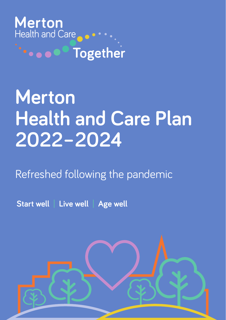

# **Merton Health and Care Plan 2022–2024**

## Refreshed following the pandemic

**Start well** | **Live well** | **Age well**

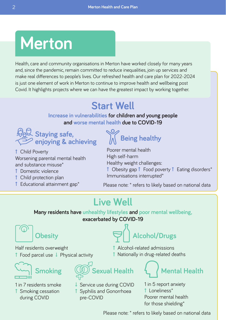## **Merton**

Health, care and community organisations in Merton have worked closely for many years and, since the pandemic, remain committed to reduce inequalities, join up services and make real differences to people's lives. Our refreshed health and care plan for 2022-2024 is just one element of work in Merton to continue to improve health and wellbeing post Covid. It highlights projects where we can have the greatest impact by working together.

## **Start Well**

#### **Increase in vulnerabilities for children and young people and worse mental health due to COVID-19**



 Child Poverty Worsening parental mental health and substance misuse\*

- Domestic violence
- Child protection plan
- $\uparrow$  Educational attainment gap\*

**Being healthy**

Poorer mental health High self-harm Healthy weight challenges:

 $\uparrow$  Obesity gap  $\uparrow$  Food poverty  $\uparrow$  Eating disorders\* Immunisations interrupted\*

Please note: \* refers to likely based on national data

### **Live Well**

**Many residents have unhealthy lifestyles and poor mental wellbeing, exacerbated by COVID-19**

## **Obesity**

Half residents overweight  $\uparrow$  Food parcel use  $\downarrow$  Physical activity

**Smoking**

1 in 7 residents smoke **1** Smoking cessation during COVID



 Alcohol-related admissions  $\uparrow$  Nationally in drug-related deaths



**Mental Health**

- ↓ Service use during COVID Syphilis and Gonorrhoea pre-COVID
- 1 in 5 report anxiety Loneliness\* Poorer mental health for those shielding\*

Please note: \* refers to likely based on national data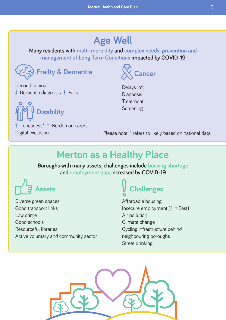### **Age Well**

**Many residents with multi-morbidity and complex needs; prevention and management of Long Term Conditions impacted by COVID-19**



Deconditioning  $\downarrow$  Dementia diagnosis  $\uparrow$  Falls



 Loneliness\* Burden on carers Digital exclusion

Delays in\*: Diagnosis Treatment Screening

**Cancer**

Please note: \* refers to likely based on national data

### **Merton as a Healthy Place**

**Boroughs with many assets, challenges include housing shortage and employment gap, increased by COVID-19**

## **Assets**

Diverse green spaces Good transport links Low crime Good schools Resourceful libraries Active voluntary and community sector

## **Challenges**

Affordable housing Insecure employment (1 in East) Air pollution Climate change Cycling infrastructure behind neighbouring boroughs Street drinking

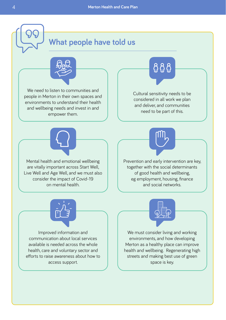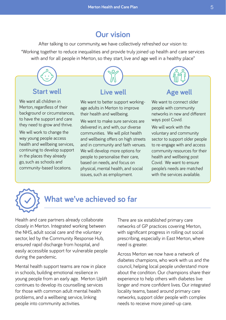#### **Our vision**

After talking to our community, we have collectively refreshed our vision to:

"Working together to reduce inequalities and provide truly joined up health and care services with and for all people in Merton, so they start, live and age well in a healthy place"



way young people access health and wellbeing services, continuing to develop support in the places they already go, such as schools and community-based locations.

communities. We will pilot health and wellbeing offers on high streets and in community and faith venues. We will develop more options for people to personalise their care, based on needs, and focus on physical, mental health, and social issues, such as employment.

voluntary and community sector to support older people to re-engage with and access community resources for their health and wellbeing post Covid. We want to ensure people's needs are matched with the services available.



### **What we've achieved so far**

Health and care partners already collaborate closely in Merton. Integrated working between the NHS, adult social care and the voluntary sector, led by the Community Response Hub, ensured rapid discharge from hospital, and easily accessible support for vulnerable people during the pandemic.

Mental health support teams are now in place in schools, building emotional resilience in young people from an early age. Merton Uplift continues to develop its counselling services for those with common adult mental health problems, and a wellbeing service, linking people into community activities.

There are six established primary care networks of GP practices covering Merton, with significant progress in rolling out social prescribing, especially in East Merton, where need is greater.

Across Merton we now have a network of diabetes champions, who work with us and the council, helping local people understand more about the condition. Our champions share their experience to help others with diabetes live longer and more confident lives. Our integrated locality teams, based around primary care networks, support older people with complex needs to receive more joined-up care.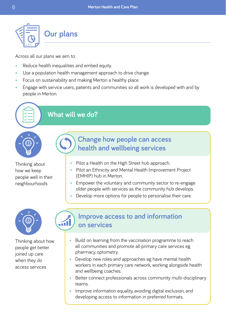

Across all our plans we aim to:

- Reduce health inequalities and embed equity.
- Use a population health management approach to drive change.
- Focus on sustainability and making Merton a healthy place.
- Engage with service users, patients and communities so all work is developed with and by people in Merton.

### **What will we do?**

Thinking about how we keep people well in their neighbourhoods



#### **Change how people can access health and wellbeing services**

- Pilot a Health on the High Street hub approach.
- Pilot an Ethnicity and Mental Health Improvement Project (EMHIP) hub in Merton.
- Empower the voluntary and community sector to re-engage older people with services as the community hub develops.
- Develop more options for people to personalise their care.



Thinking about how people get better joined up care when they do access services



- Build on learning from the vaccination programme to reach all communities and promote all primary care services eg pharmacy, optometry.
- Develop new roles and approaches eg have mental health workers in each primary care network, working alongside health and wellbeing coaches.
- Better connect professionals across community multi-disciplinary teams.
- Improve information equality, avoiding digital exclusion, and developing access to information in preferred formats.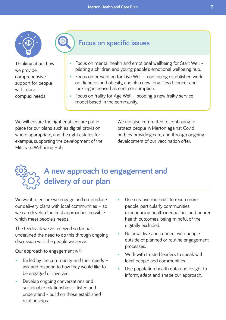

Thinking about how we provide comprehensive support for people with more complex needs

### **Focus on specific issues**

- Focus on mental health and emotional wellbeing for Start Well piloting a children and young people's emotional wellbeing hub.
- Focus on prevention for Live Well continuing established work on diabetes and obesity, and also now long Covid, cancer and tackling increased alcohol consumption.
- Focus on frailty for Age Well scoping a new frailty service model based in the community.

We will ensure the right enablers are put in place for our plans such as digital provision where appropriate, and the right estates for example, supporting the development of the Mitcham Wellbeing Hub.

⊙

We are also committed to continuing to protect people in Merton against Covid both by providing care, and through ongoing development of our vaccination offer.

## **A new approach to engagement and delivery of our plan**

We want to ensure we engage and co-produce our delivery plans with local communities – so we can develop the best approaches possible which meet people's needs.

The feedback we've received so far has underlined the need to do this through ongoing discussion with the people we serve.

Our approach to engagement will:

- Be led by the community and their needs ask and respond to how they would like to be engaged or involved.
- Develop ongoing conversations and sustainable relationships – listen and understand - build on those established relationships.
- Use creative methods to reach more people, particularly communities experiencing health inequalities and poorer health outcomes, being mindful of the digitally excluded.
- Be proactive and connect with people outside of planned or routine engagement processes.
- Work with trusted leaders to speak with local people and communities.
- Use population health data and insight to inform, adapt and shape our approach.